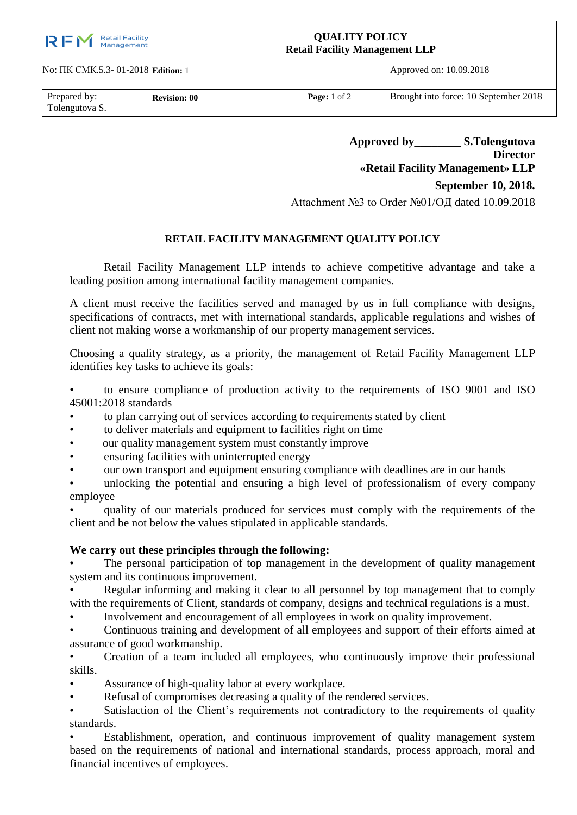| Retail Facility<br>Management<br>RFM | <b>QUALITY POLICY</b><br><b>Retail Facility Management LLP</b> |                         |                                       |
|--------------------------------------|----------------------------------------------------------------|-------------------------|---------------------------------------|
| No: ПК СМК.5.3- 01-2018 Edition: 1   |                                                                |                         | Approved on: 10.09.2018               |
| Prepared by:<br>Tolengutova S.       | <b>Revision: 00</b>                                            | <b>Page:</b> $1$ of $2$ | Brought into force: 10 September 2018 |

**Approved by\_\_\_\_\_\_\_\_ S.Тolengutova Director «Retail Facility Management» LLP**

**September 10, 2018.**

Attachment №3 to Order №01/ОД dated 10.09.2018

## **RETAIL FACILITY MANAGEMENT QUALITY POLICY**

Retail Facility Management LLP intends to achieve competitive advantage and take a leading position among international facility management companies.

A client must receive the facilities served and managed by us in full compliance with designs, specifications of contracts, met with international standards, applicable regulations and wishes of client not making worse a workmanship of our property management services.

Choosing a quality strategy, as a priority, the management of Retail Facility Management LLP identifies key tasks to achieve its goals:

• to ensure compliance of production activity to the requirements of ISO 9001 and ISO 45001:2018 standards

- to plan carrying out of services according to requirements stated by client
- to deliver materials and equipment to facilities right on time
- our quality management system must constantly improve
- ensuring facilities with uninterrupted energy
- our own transport and equipment ensuring compliance with deadlines are in our hands

unlocking the potential and ensuring a high level of professionalism of every company employee

quality of our materials produced for services must comply with the requirements of the client and be not below the values stipulated in applicable standards.

## **We carry out these principles through the following:**

The personal participation of top management in the development of quality management system and its continuous improvement.

• Regular informing and making it clear to all personnel by top management that to comply with the requirements of Client, standards of company, designs and technical regulations is a must.

• Involvement and encouragement of all employees in work on quality improvement.

• Continuous training and development of all employees and support of their efforts aimed at assurance of good workmanship.

• Creation of a team included all employees, who continuously improve their professional skills.

Assurance of high-quality labor at every workplace.

Refusal of compromises decreasing a quality of the rendered services.

Satisfaction of the Client's requirements not contradictory to the requirements of quality standards.

Establishment, operation, and continuous improvement of quality management system based on the requirements of national and international standards, process approach, moral and financial incentives of employees.